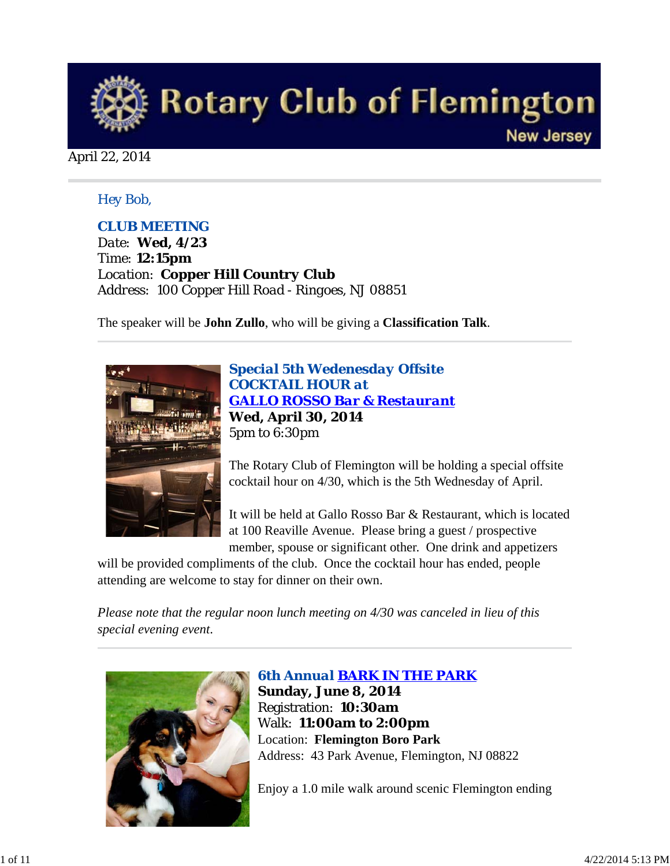

### April 22, 2014

### *Hey Bob,*

### *CLUB MEETING*

*Date: Wed, 4/23 Time: 12:15pm Location: Copper Hill Country Club Address: 100 Copper Hill Road - Ringoes, NJ 08851*

The speaker will be **John Zullo**, who will be giving a **Classification Talk**.



*Special 5th Wedenesday Offsite COCKTAIL HOUR at GALLO ROSSO Bar & Restaurant* **Wed, April 30, 2014** 5pm to 6:30pm

The Rotary Club of Flemington will be holding a special offsite cocktail hour on 4/30, which is the 5th Wednesday of April.

It will be held at Gallo Rosso Bar & Restaurant, which is located at 100 Reaville Avenue. Please bring a guest / prospective member, spouse or significant other. One drink and appetizers

will be provided compliments of the club. Once the cocktail hour has ended, people attending are welcome to stay for dinner on their own.

*Please note that the regular noon lunch meeting on 4/30 was canceled in lieu of this special evening event*.



*6th Annual BARK IN THE PARK* **Sunday, June 8, 2014** Registration: **10:30am** Walk: **11:00am to 2:00pm** Location: **Flemington Boro Park** Address: 43 Park Avenue, Flemington, NJ 08822

Enjoy a 1.0 mile walk around scenic Flemington ending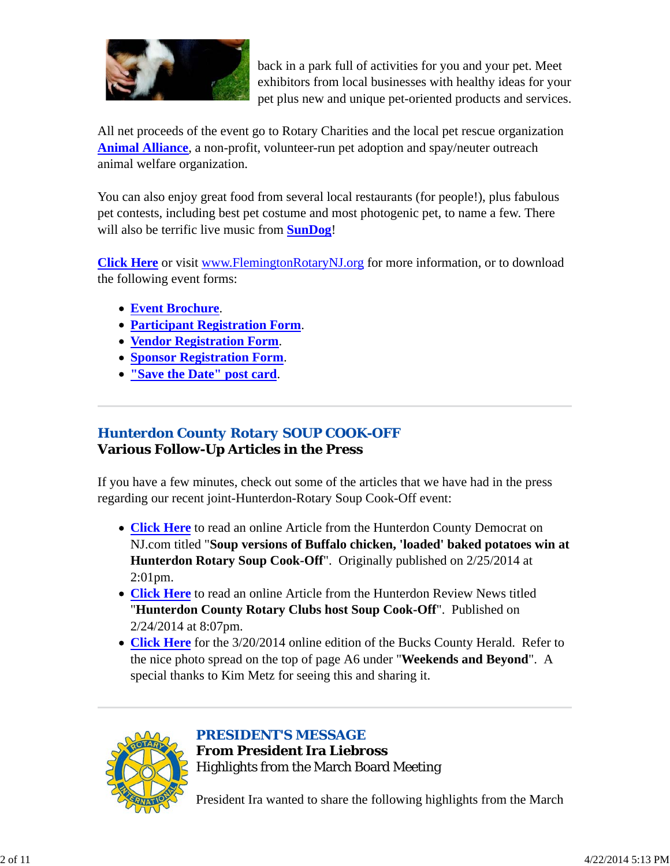

back in a park full of activities for you and your pet. Meet exhibitors from local businesses with healthy ideas for your pet plus new and unique pet-oriented products and services.

All net proceeds of the event go to Rotary Charities and the local pet rescue organization **Animal Alliance**, a non-profit, volunteer-run pet adoption and spay/neuter outreach animal welfare organization.

You can also enjoy great food from several local restaurants (for people!), plus fabulous pet contests, including best pet costume and most photogenic pet, to name a few. There will also be terrific live music from **SunDog**!

**Click Here** or visit www.FlemingtonRotaryNJ.org for more information, or to download the following event forms:

- **Event Brochure**.
- **Participant Registration Form**.
- **Vendor Registration Form**.
- **Sponsor Registration Form**.
- **"Save the Date" post card**.

# *Hunterdon County Rotary SOUP COOK-OFF* **Various Follow-Up Articles in the Press**

If you have a few minutes, check out some of the articles that we have had in the press regarding our recent joint-Hunterdon-Rotary Soup Cook-Off event:

- **Click Here** to read an online Article from the Hunterdon County Democrat on NJ.com titled "**Soup versions of Buffalo chicken, 'loaded' baked potatoes win at Hunterdon Rotary Soup Cook-Off**". Originally published on 2/25/2014 at 2:01pm.
- **Click Here** to read an online Article from the Hunterdon Review News titled "**Hunterdon County Rotary Clubs host Soup Cook-Off**". Published on 2/24/2014 at 8:07pm.
- **Click Here** for the 3/20/2014 online edition of the Bucks County Herald. Refer to the nice photo spread on the top of page A6 under "**Weekends and Beyond**". A special thanks to Kim Metz for seeing this and sharing it.



*PRESIDENT'S MESSAGE*

**From President Ira Liebross** Highlights from the March Board Meeting

President Ira wanted to share the following highlights from the March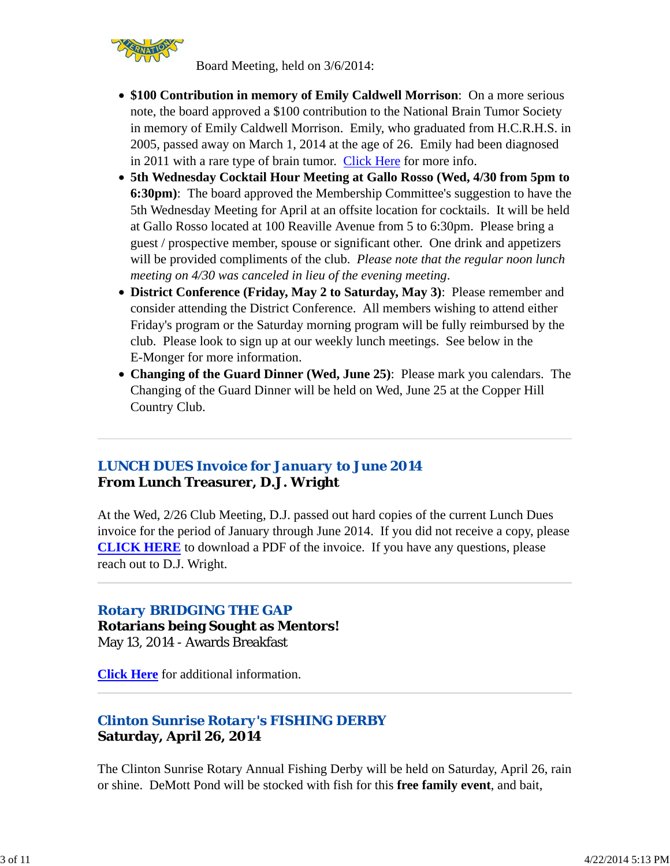

Board Meeting, held on 3/6/2014:

- **\$100 Contribution in memory of Emily Caldwell Morrison**: On a more serious note, the board approved a \$100 contribution to the National Brain Tumor Society in memory of Emily Caldwell Morrison. Emily, who graduated from H.C.R.H.S. in 2005, passed away on March 1, 2014 at the age of 26. Emily had been diagnosed in 2011 with a rare type of brain tumor. Click Here for more info.
- **5th Wednesday Cocktail Hour Meeting at Gallo Rosso (Wed, 4/30 from 5pm to 6:30pm)**: The board approved the Membership Committee's suggestion to have the 5th Wednesday Meeting for April at an offsite location for cocktails. It will be held at Gallo Rosso located at 100 Reaville Avenue from 5 to 6:30pm. Please bring a guest / prospective member, spouse or significant other. One drink and appetizers will be provided compliments of the club. *Please note that the regular noon lunch meeting on 4/30 was canceled in lieu of the evening meeting*.
- **District Conference (Friday, May 2 to Saturday, May 3)**: Please remember and consider attending the District Conference. All members wishing to attend either Friday's program or the Saturday morning program will be fully reimbursed by the club. Please look to sign up at our weekly lunch meetings. See below in the E-Monger for more information.
- **Changing of the Guard Dinner (Wed, June 25)**: Please mark you calendars. The Changing of the Guard Dinner will be held on Wed, June 25 at the Copper Hill Country Club.

# *LUNCH DUES Invoice for January to June 2014* **From Lunch Treasurer, D.J. Wright**

At the Wed, 2/26 Club Meeting, D.J. passed out hard copies of the current Lunch Dues invoice for the period of January through June 2014. If you did not receive a copy, please **CLICK HERE** to download a PDF of the invoice. If you have any questions, please reach out to D.J. Wright.

# *Rotary BRIDGING THE GAP*

**Rotarians being Sought as Mentors!** May 13, 2014 - Awards Breakfast

**Click Here** for additional information.

# *Clinton Sunrise Rotary's FISHING DERBY* **Saturday, April 26, 2014**

The Clinton Sunrise Rotary Annual Fishing Derby will be held on Saturday, April 26, rain or shine. DeMott Pond will be stocked with fish for this **free family event**, and bait,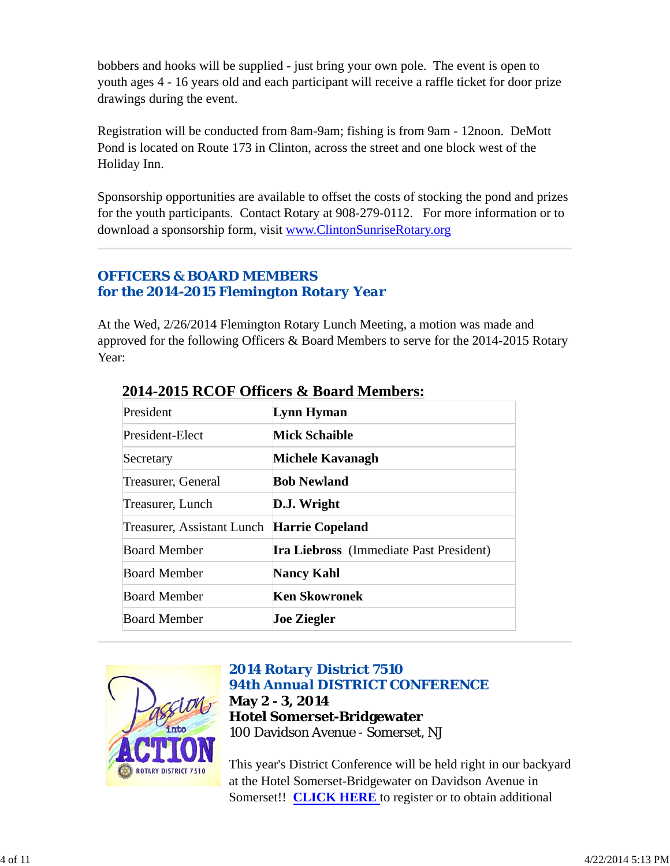bobbers and hooks will be supplied - just bring your own pole. The event is open to youth ages 4 - 16 years old and each participant will receive a raffle ticket for door prize drawings during the event.

Registration will be conducted from 8am-9am; fishing is from 9am - 12noon. DeMott Pond is located on Route 173 in Clinton, across the street and one block west of the Holiday Inn.

Sponsorship opportunities are available to offset the costs of stocking the pond and prizes for the youth participants. Contact Rotary at 908-279-0112. For more information or to download a sponsorship form, visit www.ClintonSunriseRotary.org

# *OFFICERS & BOARD MEMBERS for the 2014-2015 Flemington Rotary Year*

At the Wed, 2/26/2014 Flemington Rotary Lunch Meeting, a motion was made and approved for the following Officers & Board Members to serve for the 2014-2015 Rotary Year:

| President                                  | Lynn Hyman                                     |  |
|--------------------------------------------|------------------------------------------------|--|
| President-Elect                            | <b>Mick Schaible</b>                           |  |
| Secretary                                  | Michele Kavanagh                               |  |
| Treasurer, General                         | <b>Bob Newland</b>                             |  |
| Treasurer, Lunch                           | D.J. Wright                                    |  |
| Treasurer, Assistant Lunch Harrie Copeland |                                                |  |
| <b>Board Member</b>                        | <b>Ira Liebross</b> (Immediate Past President) |  |
| <b>Board Member</b>                        | <b>Nancy Kahl</b>                              |  |
| <b>Board Member</b>                        | <b>Ken Skowronek</b>                           |  |
| <b>Board Member</b>                        | <b>Joe Ziegler</b>                             |  |

# **2014-2015 RCOF Officers & Board Members:**



## *2014 Rotary District 7510 94th Annual DISTRICT CONFERENCE* **May 2 - 3, 2014 Hotel Somerset-Bridgewater** 100 Davidson Avenue - Somerset, NJ

This year's District Conference will be held right in our backyard at the Hotel Somerset-Bridgewater on Davidson Avenue in Somerset!! **CLICK HERE** to register or to obtain additional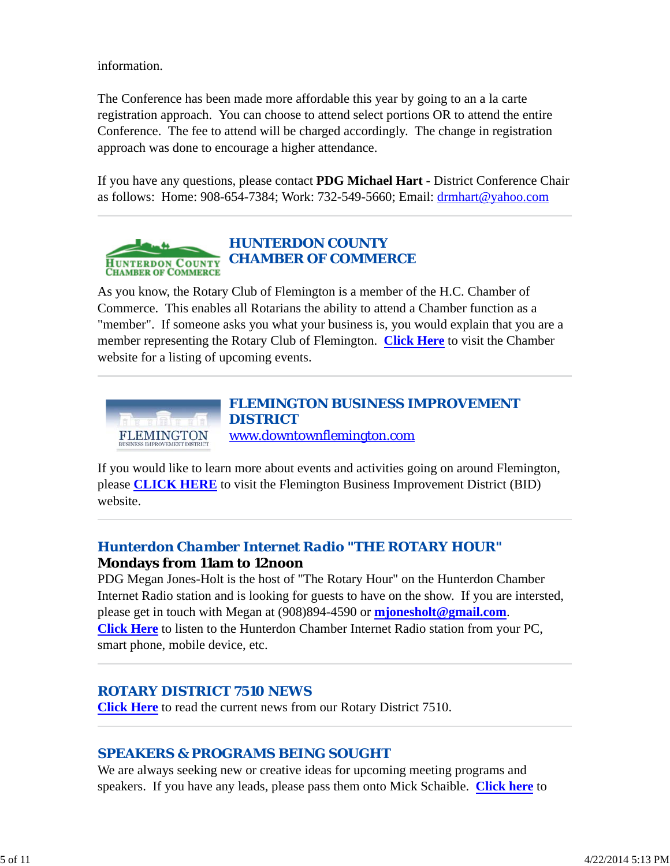information.

The Conference has been made more affordable this year by going to an a la carte registration approach. You can choose to attend select portions OR to attend the entire Conference. The fee to attend will be charged accordingly. The change in registration approach was done to encourage a higher attendance.

If you have any questions, please contact **PDG Michael Hart** - District Conference Chair as follows: Home: 908-654-7384; Work: 732-549-5660; Email: drmhart@yahoo.com



As you know, the Rotary Club of Flemington is a member of the H.C. Chamber of Commerce. This enables all Rotarians the ability to attend a Chamber function as a "member". If someone asks you what your business is, you would explain that you are a member representing the Rotary Club of Flemington. **Click Here** to visit the Chamber website for a listing of upcoming events.



If you would like to learn more about events and activities going on around Flemington, please **CLICK HERE** to visit the Flemington Business Improvement District (BID) website.

## *Hunterdon Chamber Internet Radio "THE ROTARY HOUR"* **Mondays from 11am to 12noon**

PDG Megan Jones-Holt is the host of "The Rotary Hour" on the Hunterdon Chamber Internet Radio station and is looking for guests to have on the show. If you are intersted, please get in touch with Megan at (908)894-4590 or **mjonesholt@gmail.com**. **Click Here** to listen to the Hunterdon Chamber Internet Radio station from your PC, smart phone, mobile device, etc.

## *ROTARY DISTRICT 7510 NEWS*

**Click Here** to read the current news from our Rotary District 7510.

# *SPEAKERS & PROGRAMS BEING SOUGHT*

We are always seeking new or creative ideas for upcoming meeting programs and speakers. If you have any leads, please pass them onto Mick Schaible. **Click here** to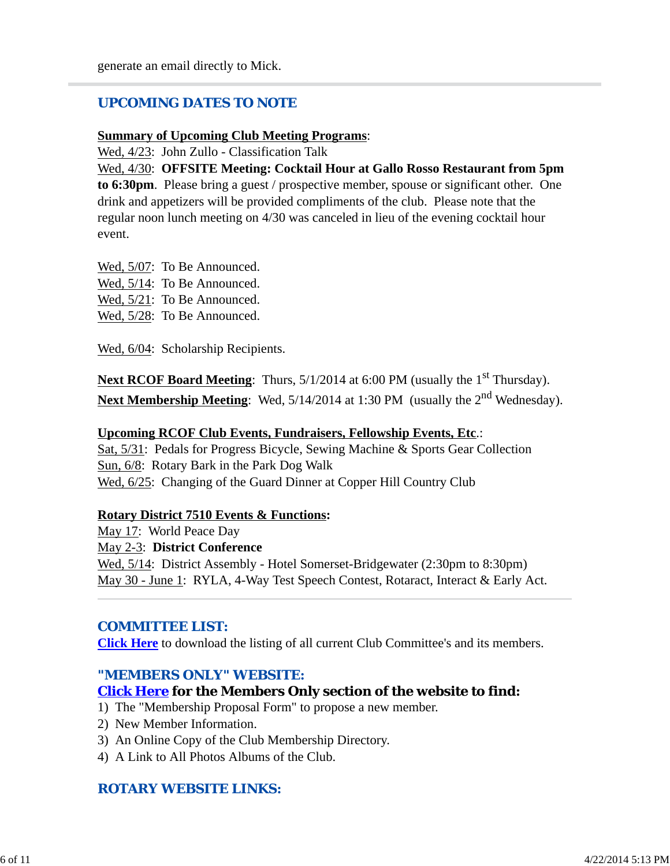### *UPCOMING DATES TO NOTE*

#### **Summary of Upcoming Club Meeting Programs**:

Wed, 4/23: John Zullo - Classification Talk

Wed, 4/30: **OFFSITE Meeting: Cocktail Hour at Gallo Rosso Restaurant from 5pm to 6:30pm**. Please bring a guest / prospective member, spouse or significant other. One drink and appetizers will be provided compliments of the club. Please note that the regular noon lunch meeting on 4/30 was canceled in lieu of the evening cocktail hour event.

Wed, 5/07: To Be Announced. Wed, 5/14: To Be Announced. Wed,  $5/21$ : To Be Announced. Wed, 5/28: To Be Announced.

Wed,  $6/04$ : Scholarship Recipients.

**Next RCOF Board Meeting:** Thurs,  $5/1/2014$  at  $6:00$  PM (usually the 1<sup>st</sup> Thursday). **Next Membership Meeting**: Wed, 5/14/2014 at 1:30 PM (usually the 2<sup>nd</sup> Wednesday).

#### **Upcoming RCOF Club Events, Fundraisers, Fellowship Events, Etc**.:

Sat, 5/31: Pedals for Progress Bicycle, Sewing Machine & Sports Gear Collection Sun, 6/8: Rotary Bark in the Park Dog Walk Wed, 6/25: Changing of the Guard Dinner at Copper Hill Country Club

#### **Rotary District 7510 Events & Functions:**

May 17: World Peace Day May 2-3: **District Conference** Wed,  $5/14$ : District Assembly - Hotel Somerset-Bridgewater (2:30pm to 8:30pm) May 30 - June 1: RYLA, 4-Way Test Speech Contest, Rotaract, Interact & Early Act.

### *COMMITTEE LIST:*

**Click Here** to download the listing of all current Club Committee's and its members.

### *"MEMBERS ONLY" WEBSITE:*

#### **Click Here for the Members Only section of the website to find:**

- 1) The "Membership Proposal Form" to propose a new member.
- 2) New Member Information.
- 3) An Online Copy of the Club Membership Directory.
- 4) A Link to All Photos Albums of the Club.

### *ROTARY WEBSITE LINKS:*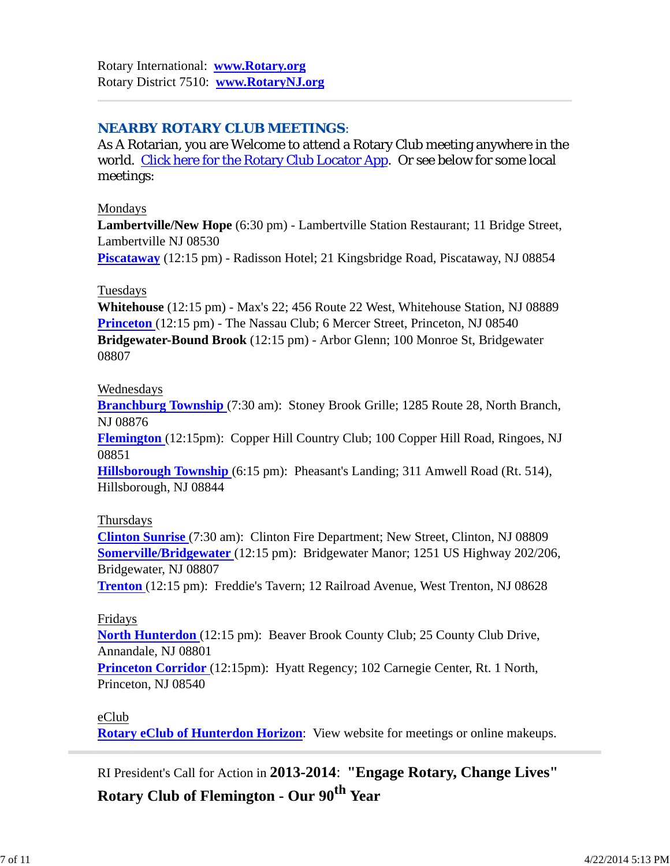## *NEARBY ROTARY CLUB MEETINGS:*

As A Rotarian, you are Welcome to attend a Rotary Club meeting anywhere in the world. Click here for the Rotary Club Locator App. Or see below for some local meetings:

### Mondays

**Lambertville/New Hope** (6:30 pm) - Lambertville Station Restaurant; 11 Bridge Street, Lambertville NJ 08530

**Piscataway** (12:15 pm) - Radisson Hotel; 21 Kingsbridge Road, Piscataway, NJ 08854

## Tuesdays

**Whitehouse** (12:15 pm) - Max's 22; 456 Route 22 West, Whitehouse Station, NJ 08889 **Princeton** (12:15 pm) - The Nassau Club; 6 Mercer Street, Princeton, NJ 08540 **Bridgewater-Bound Brook** (12:15 pm) - Arbor Glenn; 100 Monroe St, Bridgewater 08807

### Wednesdays

**Branchburg Township** (7:30 am): Stoney Brook Grille; 1285 Route 28, North Branch, NJ 08876

**Flemington** (12:15pm): Copper Hill Country Club; 100 Copper Hill Road, Ringoes, NJ 08851

**Hillsborough Township** (6:15 pm): Pheasant's Landing; 311 Amwell Road (Rt. 514), Hillsborough, NJ 08844

## Thursdays

**Clinton Sunrise** (7:30 am): Clinton Fire Department; New Street, Clinton, NJ 08809 **Somerville/Bridgewater** (12:15 pm): Bridgewater Manor; 1251 US Highway 202/206, Bridgewater, NJ 08807

**Trenton** (12:15 pm): Freddie's Tavern; 12 Railroad Avenue, West Trenton, NJ 08628

## Fridays

**North Hunterdon** (12:15 pm): Beaver Brook County Club; 25 County Club Drive, Annandale, NJ 08801

**Princeton Corridor** (12:15pm): Hyatt Regency; 102 Carnegie Center, Rt. 1 North, Princeton, NJ 08540

## eClub

**Rotary eClub of Hunterdon Horizon**: View website for meetings or online makeups.

RI President's Call for Action in **2013-2014**: **"Engage Rotary, Change Lives"**

**Rotary Club of Flemington - Our 90th Year**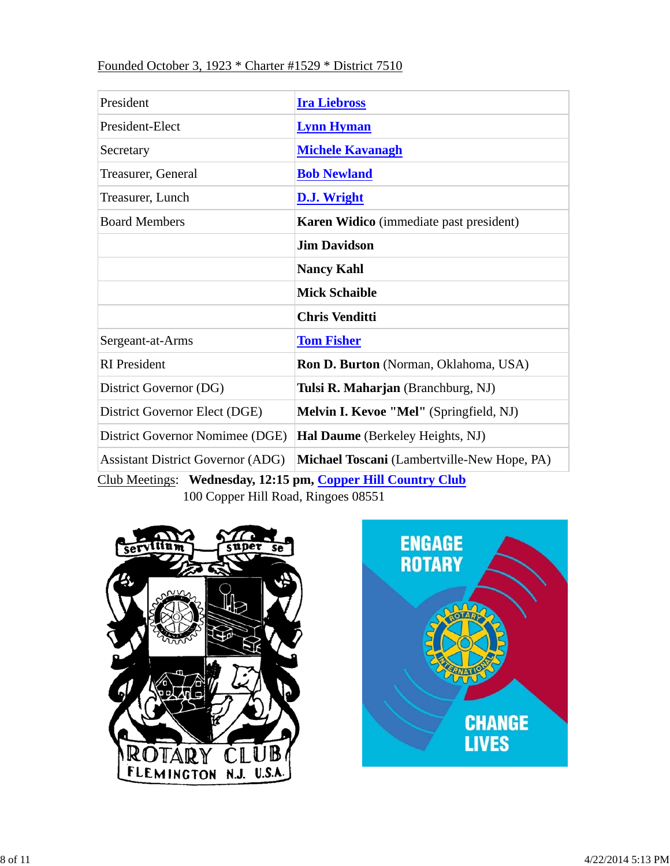### Founded October 3, 1923 \* Charter #1529 \* District 7510

| President                                | <b>Ira Liebross</b>                         |  |  |
|------------------------------------------|---------------------------------------------|--|--|
| President-Elect                          | <b>Lynn Hyman</b>                           |  |  |
| Secretary                                | <b>Michele Kavanagh</b>                     |  |  |
| Treasurer, General                       | <b>Bob Newland</b>                          |  |  |
| Treasurer, Lunch                         | D.J. Wright                                 |  |  |
| <b>Board Members</b>                     | Karen Widico (immediate past president)     |  |  |
|                                          | <b>Jim Davidson</b>                         |  |  |
|                                          | <b>Nancy Kahl</b>                           |  |  |
|                                          | <b>Mick Schaible</b>                        |  |  |
|                                          | <b>Chris Venditti</b>                       |  |  |
| Sergeant-at-Arms                         | <b>Tom Fisher</b>                           |  |  |
| <b>RI</b> President                      | Ron D. Burton (Norman, Oklahoma, USA)       |  |  |
| District Governor (DG)                   | Tulsi R. Maharjan (Branchburg, NJ)          |  |  |
| District Governor Elect (DGE)            | Melvin I. Kevoe "Mel" (Springfield, NJ)     |  |  |
| District Governor Nomimee (DGE)          | Hal Daume (Berkeley Heights, NJ)            |  |  |
| <b>Assistant District Governor (ADG)</b> | Michael Toscani (Lambertville-New Hope, PA) |  |  |

Club Meetings: **Wednesday, 12:15 pm, Copper Hill Country Club** 100 Copper Hill Road, Ringoes 08551



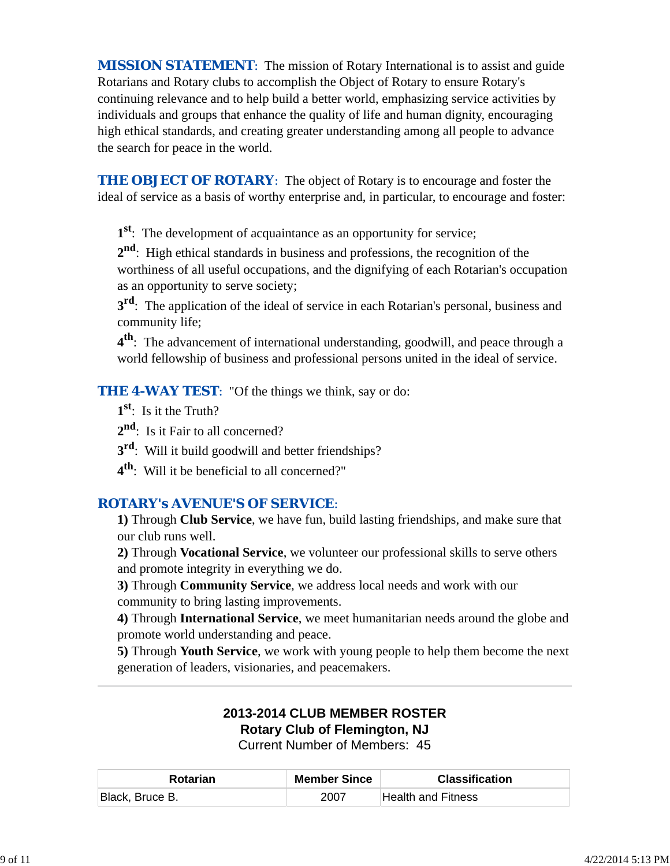*MISSION STATEMENT*: The mission of Rotary International is to assist and guide Rotarians and Rotary clubs to accomplish the Object of Rotary to ensure Rotary's continuing relevance and to help build a better world, emphasizing service activities by individuals and groups that enhance the quality of life and human dignity, encouraging high ethical standards, and creating greater understanding among all people to advance the search for peace in the world.

**THE OBJECT OF ROTARY:** The object of Rotary is to encourage and foster the ideal of service as a basis of worthy enterprise and, in particular, to encourage and foster:

**1st**: The development of acquaintance as an opportunity for service;

**2nd**: High ethical standards in business and professions, the recognition of the worthiness of all useful occupations, and the dignifying of each Rotarian's occupation as an opportunity to serve society;

**3rd**: The application of the ideal of service in each Rotarian's personal, business and community life;

**4th**: The advancement of international understanding, goodwill, and peace through a world fellowship of business and professional persons united in the ideal of service.

**THE 4-WAY TEST:** "Of the things we think, say or do:

- **1st**: Is it the Truth?
- 2<sup>nd</sup>: Is it Fair to all concerned?
- **3rd**: Will it build goodwill and better friendships?
- **4th**: Will it be beneficial to all concerned?"

# *ROTARY's AVENUE'S OF SERVICE*:

**1)** Through **Club Service**, we have fun, build lasting friendships, and make sure that our club runs well.

**2)** Through **Vocational Service**, we volunteer our professional skills to serve others and promote integrity in everything we do.

**3)** Through **Community Service**, we address local needs and work with our community to bring lasting improvements.

**4)** Through **International Service**, we meet humanitarian needs around the globe and promote world understanding and peace.

**5)** Through **Youth Service**, we work with young people to help them become the next generation of leaders, visionaries, and peacemakers.

# **2013-2014 CLUB MEMBER ROSTER Rotary Club of Flemington, NJ**

Current Number of Members: 45

| <b>Rotarian</b> | <b>Member Since</b> | <b>Classification</b> |
|-----------------|---------------------|-----------------------|
| Black, Bruce B. | 2007                | ∣Health and Fitness_  |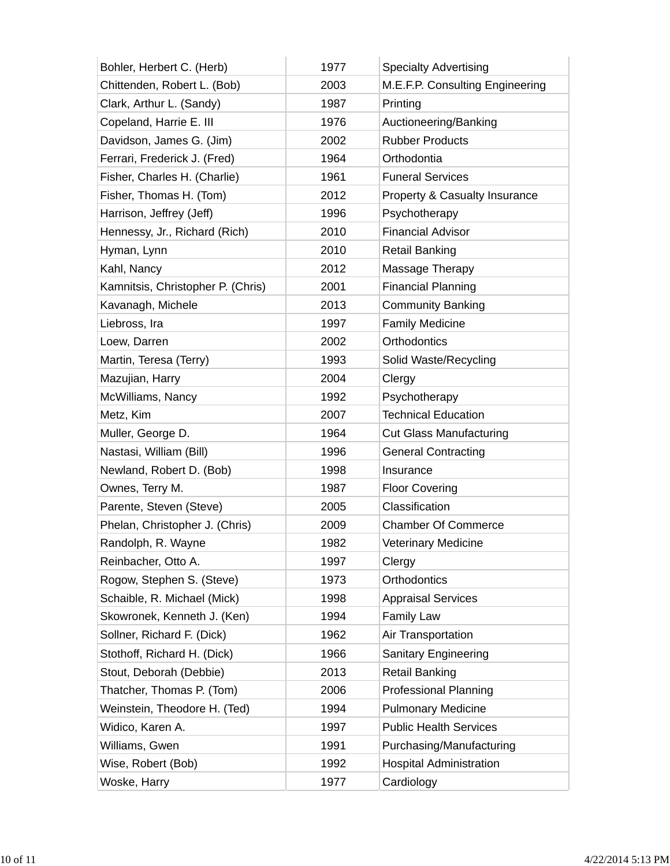| Bohler, Herbert C. (Herb)         | 1977 | <b>Specialty Advertising</b>             |
|-----------------------------------|------|------------------------------------------|
| Chittenden, Robert L. (Bob)       | 2003 | M.E.F.P. Consulting Engineering          |
| Clark, Arthur L. (Sandy)          | 1987 | Printing                                 |
| Copeland, Harrie E. III           | 1976 | Auctioneering/Banking                    |
| Davidson, James G. (Jim)          | 2002 | <b>Rubber Products</b>                   |
| Ferrari, Frederick J. (Fred)      | 1964 | Orthodontia                              |
| Fisher, Charles H. (Charlie)      | 1961 | <b>Funeral Services</b>                  |
| Fisher, Thomas H. (Tom)           | 2012 | <b>Property &amp; Casualty Insurance</b> |
| Harrison, Jeffrey (Jeff)          | 1996 | Psychotherapy                            |
| Hennessy, Jr., Richard (Rich)     | 2010 | <b>Financial Advisor</b>                 |
| Hyman, Lynn                       | 2010 | <b>Retail Banking</b>                    |
| Kahl, Nancy                       | 2012 | Massage Therapy                          |
| Kamnitsis, Christopher P. (Chris) | 2001 | <b>Financial Planning</b>                |
| Kavanagh, Michele                 | 2013 | <b>Community Banking</b>                 |
| Liebross, Ira                     | 1997 | <b>Family Medicine</b>                   |
| Loew, Darren                      | 2002 | Orthodontics                             |
| Martin, Teresa (Terry)            | 1993 | Solid Waste/Recycling                    |
| Mazujian, Harry                   | 2004 | Clergy                                   |
| McWilliams, Nancy                 | 1992 | Psychotherapy                            |
| Metz, Kim                         | 2007 | <b>Technical Education</b>               |
| Muller, George D.                 | 1964 | <b>Cut Glass Manufacturing</b>           |
| Nastasi, William (Bill)           | 1996 | <b>General Contracting</b>               |
| Newland, Robert D. (Bob)          | 1998 | Insurance                                |
| Ownes, Terry M.                   | 1987 | <b>Floor Covering</b>                    |
| Parente, Steven (Steve)           | 2005 | Classification                           |
| Phelan, Christopher J. (Chris)    | 2009 | <b>Chamber Of Commerce</b>               |
| Randolph, R. Wayne                | 1982 | <b>Veterinary Medicine</b>               |
| Reinbacher, Otto A.               | 1997 | Clergy                                   |
| Rogow, Stephen S. (Steve)         | 1973 | Orthodontics                             |
| Schaible, R. Michael (Mick)       | 1998 | <b>Appraisal Services</b>                |
| Skowronek, Kenneth J. (Ken)       | 1994 | <b>Family Law</b>                        |
| Sollner, Richard F. (Dick)        | 1962 | Air Transportation                       |
| Stothoff, Richard H. (Dick)       | 1966 | <b>Sanitary Engineering</b>              |
| Stout, Deborah (Debbie)           | 2013 | <b>Retail Banking</b>                    |
| Thatcher, Thomas P. (Tom)         | 2006 | <b>Professional Planning</b>             |
| Weinstein, Theodore H. (Ted)      | 1994 | <b>Pulmonary Medicine</b>                |
| Widico, Karen A.                  | 1997 | <b>Public Health Services</b>            |
| Williams, Gwen                    | 1991 | Purchasing/Manufacturing                 |
| Wise, Robert (Bob)                | 1992 | <b>Hospital Administration</b>           |
| Woske, Harry                      | 1977 | Cardiology                               |